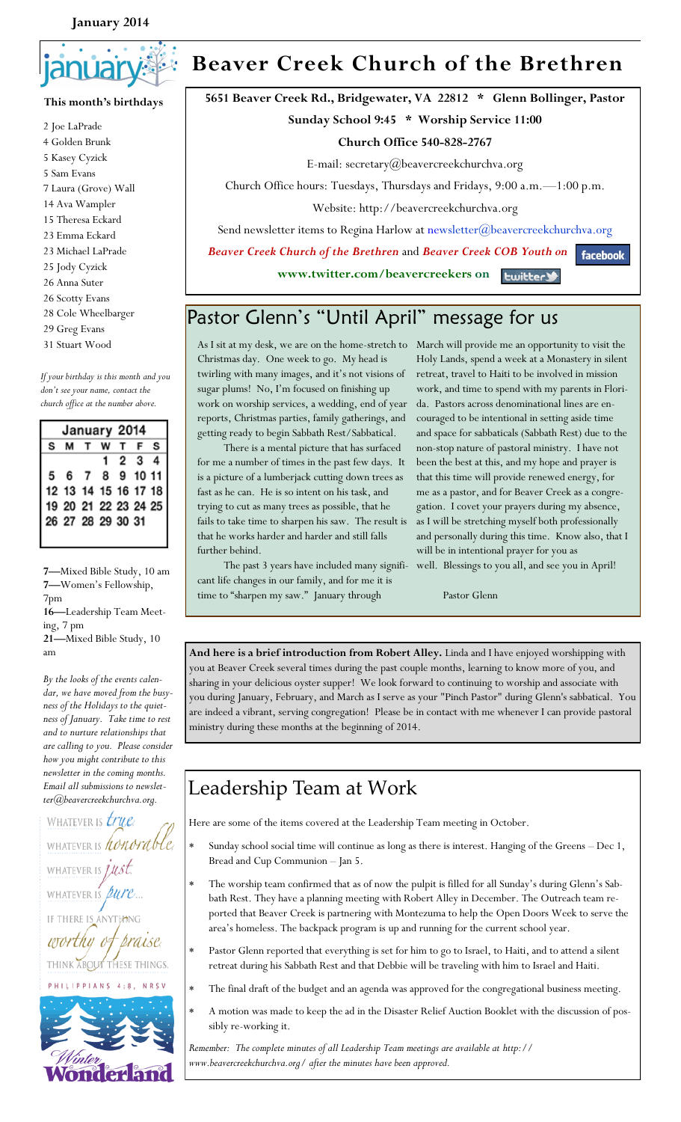#### **January 2014**



#### **This month's birthdays**

2 Joe LaPrade 4 Golden Brunk 5 Kasey Cyzick 5 Sam Evans 7 Laura (Grove) Wall 14 Ava Wampler 15 Theresa Eckard 23 Emma Eckard 23 Michael LaPrade 25 Jody Cyzick 26 Anna Suter 26 Scotty Evans 28 Cole Wheelbarger 29 Greg Evans 31 Stuart Wood

*If your birthday is this month and you don't see your name, contact the church office at the number above.*

| January 2014 |                      |  |  |  |      |  |
|--------------|----------------------|--|--|--|------|--|
|              | <b>SMTWTFS</b>       |  |  |  |      |  |
|              |                      |  |  |  | 1234 |  |
|              | 5 6 7 8 9 10 11      |  |  |  |      |  |
|              | 12 13 14 15 16 17 18 |  |  |  |      |  |
|              | 19 20 21 22 23 24 25 |  |  |  |      |  |
|              | 26 27 28 29 30 31    |  |  |  |      |  |
|              |                      |  |  |  |      |  |

**7—**Mixed Bible Study, 10 am **7—**Women's Fellowship, 7pm

**16—**Leadership Team Meeting, 7 pm

**21—**Mixed Bible Study, 10 am

*By the looks of the events calendar, we have moved from the busyness of the Holidays to the quietness of January. Take time to rest and to nurture relationships that are calling to you. Please consider how you might contribute to this newsletter in the coming months. Email all submissions to newsletter@beavercreekchurchva.org.* 

WHATEVER IS *true* WHATEVER IS honorable. WHATEVER IS *JUST*, WHATEVER IS *Lure*... **ANYTHING** thy os praise THINK ABOUT THESE THINGS. PHILIPPIANS 4:8, NRSV



# **Beaver Creek Church of the Brethren**

**5651 Beaver Creek Rd., Bridgewater, VA 22812 \* Glenn Bollinger, Pastor**

#### **Sunday School 9:45 \* Worship Service 11:00**

#### **Church Office 540-828-2767**

E-mail: secretary@beavercreekchurchva.org

Church Office hours: Tuesdays, Thursdays and Fridays, 9:00 a.m.—1:00 p.m.

Website: http://beavercreekchurchva.org

Send newsletter items to Regina Harlow at newsletter@beavercreekchurchva.org

 *Beaver Creek Church of the Brethren* and *Beaver Creek COB Youth on*  **facebook** 

> **www.twitter.com/beavercreekers on Ewitter**

## Pastor Glenn's "Until April" message for us

As I sit at my desk, we are on the home-stretch to Christmas day. One week to go. My head is twirling with many images, and it's not visions of sugar plums! No, I'm focused on finishing up work on worship services, a wedding, end of year reports, Christmas parties, family gatherings, and getting ready to begin Sabbath Rest/Sabbatical.

 There is a mental picture that has surfaced for me a number of times in the past few days. It is a picture of a lumberjack cutting down trees as fast as he can. He is so intent on his task, and trying to cut as many trees as possible, that he fails to take time to sharpen his saw. The result is that he works harder and harder and still falls further behind.

 The past 3 years have included many significant life changes in our family, and for me it is time to "sharpen my saw." January through

March will provide me an opportunity to visit the Holy Lands, spend a week at a Monastery in silent retreat, travel to Haiti to be involved in mission work, and time to spend with my parents in Florida. Pastors across denominational lines are encouraged to be intentional in setting aside time and space for sabbaticals (Sabbath Rest) due to the non-stop nature of pastoral ministry. I have not been the best at this, and my hope and prayer is that this time will provide renewed energy, for me as a pastor, and for Beaver Creek as a congregation. I covet your prayers during my absence, as I will be stretching myself both professionally and personally during this time. Know also, that I will be in intentional prayer for you as well. Blessings to you all, and see you in April!

Pastor Glenn

**And here is a brief introduction from Robert Alley.** Linda and I have enjoyed worshipping with you at Beaver Creek several times during the past couple months, learning to know more of you, and sharing in your delicious oyster supper! We look forward to continuing to worship and associate with you during January, February, and March as I serve as your "Pinch Pastor" during Glenn's sabbatical. You are indeed a vibrant, serving congregation! Please be in contact with me whenever I can provide pastoral ministry during these months at the beginning of 2014.

## Leadership Team at Work

Here are some of the items covered at the Leadership Team meeting in October.

- Sunday school social time will continue as long as there is interest. Hanging of the Greens Dec 1, Bread and Cup Communion – Jan 5.
- The worship team confirmed that as of now the pulpit is filled for all Sunday's during Glenn's Sabbath Rest. They have a planning meeting with Robert Alley in December. The Outreach team reported that Beaver Creek is partnering with Montezuma to help the Open Doors Week to serve the area's homeless. The backpack program is up and running for the current school year.
- Pastor Glenn reported that everything is set for him to go to Israel, to Haiti, and to attend a silent retreat during his Sabbath Rest and that Debbie will be traveling with him to Israel and Haiti.
- The final draft of the budget and an agenda was approved for the congregational business meeting.
- A motion was made to keep the ad in the Disaster Relief Auction Booklet with the discussion of possibly re-working it.

*Remember: The complete minutes of all Leadership Team meetings are available at http:// www.beavercreekchurchva.org/ after the minutes have been approved.*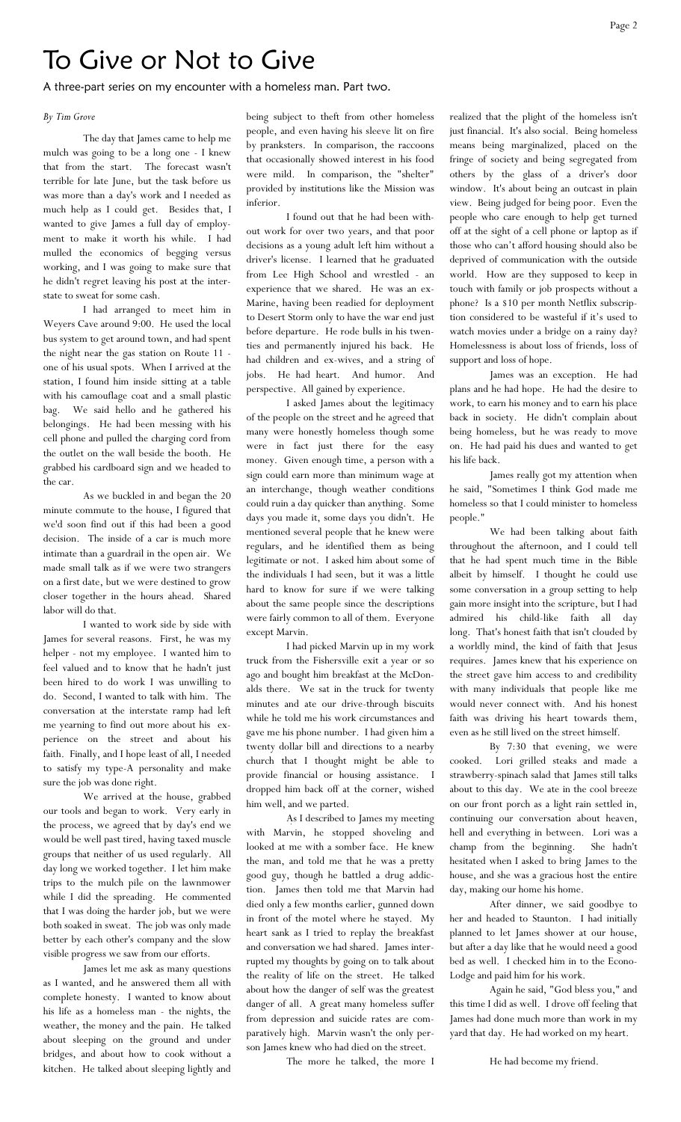## To Give or Not to Give

A three-part series on my encounter with a homeless man. Part two.

#### *By Tim Grove*

The day that James came to help me mulch was going to be a long one - I knew that from the start. The forecast wasn't terrible for late June, but the task before us was more than a day's work and I needed as much help as I could get. Besides that, I wanted to give James a full day of employment to make it worth his while. I had mulled the economics of begging versus working, and I was going to make sure that he didn't regret leaving his post at the interstate to sweat for some cash.

I had arranged to meet him in Weyers Cave around 9:00. He used the local bus system to get around town, and had spent the night near the gas station on Route 11 one of his usual spots. When I arrived at the station, I found him inside sitting at a table with his camouflage coat and a small plastic bag. We said hello and he gathered his belongings. He had been messing with his cell phone and pulled the charging cord from the outlet on the wall beside the booth. He grabbed his cardboard sign and we headed to the car.

As we buckled in and began the 20 minute commute to the house, I figured that we'd soon find out if this had been a good decision. The inside of a car is much more intimate than a guardrail in the open air. We made small talk as if we were two strangers on a first date, but we were destined to grow closer together in the hours ahead. Shared labor will do that.

I wanted to work side by side with James for several reasons. First, he was my helper - not my employee. I wanted him to feel valued and to know that he hadn't just been hired to do work I was unwilling to do. Second, I wanted to talk with him. The conversation at the interstate ramp had left me yearning to find out more about his experience on the street and about his faith. Finally, and I hope least of all, I needed to satisfy my type-A personality and make sure the job was done right.

We arrived at the house, grabbed our tools and began to work. Very early in the process, we agreed that by day's end we would be well past tired, having taxed muscle groups that neither of us used regularly. All day long we worked together. I let him make trips to the mulch pile on the lawnmower while I did the spreading. He commented that I was doing the harder job, but we were both soaked in sweat. The job was only made better by each other's company and the slow visible progress we saw from our efforts.

James let me ask as many questions as I wanted, and he answered them all with complete honesty. I wanted to know about his life as a homeless man - the nights, the weather, the money and the pain. He talked about sleeping on the ground and under bridges, and about how to cook without a kitchen. He talked about sleeping lightly and being subject to theft from other homeless people, and even having his sleeve lit on fire by pranksters. In comparison, the raccoons that occasionally showed interest in his food were mild. In comparison, the "shelter" provided by institutions like the Mission was inferior.

I found out that he had been without work for over two years, and that poor decisions as a young adult left him without a driver's license. I learned that he graduated from Lee High School and wrestled - an experience that we shared. He was an ex-Marine, having been readied for deployment to Desert Storm only to have the war end just before departure. He rode bulls in his twenties and permanently injured his back. He had children and ex-wives, and a string of jobs. He had heart. And humor. And perspective. All gained by experience.

I asked James about the legitimacy of the people on the street and he agreed that many were honestly homeless though some were in fact just there for the easy money. Given enough time, a person with a sign could earn more than minimum wage at an interchange, though weather conditions could ruin a day quicker than anything. Some days you made it, some days you didn't. He mentioned several people that he knew were regulars, and he identified them as being legitimate or not. I asked him about some of the individuals I had seen, but it was a little hard to know for sure if we were talking about the same people since the descriptions were fairly common to all of them. Everyone except Marvin.

I had picked Marvin up in my work truck from the Fishersville exit a year or so ago and bought him breakfast at the McDonalds there. We sat in the truck for twenty minutes and ate our drive-through biscuits while he told me his work circumstances and gave me his phone number. I had given him a twenty dollar bill and directions to a nearby church that I thought might be able to provide financial or housing assistance. I dropped him back off at the corner, wished him well, and we parted.

As I described to James my meeting with Marvin, he stopped shoveling and looked at me with a somber face. He knew the man, and told me that he was a pretty good guy, though he battled a drug addiction. James then told me that Marvin had died only a few months earlier, gunned down in front of the motel where he stayed. My heart sank as I tried to replay the breakfast and conversation we had shared. James interrupted my thoughts by going on to talk about the reality of life on the street. He talked about how the danger of self was the greatest danger of all. A great many homeless suffer from depression and suicide rates are comparatively high. Marvin wasn't the only person James knew who had died on the street.

The more he talked, the more I

realized that the plight of the homeless isn't just financial. It's also social. Being homeless means being marginalized, placed on the fringe of society and being segregated from others by the glass of a driver's door window. It's about being an outcast in plain view. Being judged for being poor. Even the people who care enough to help get turned off at the sight of a cell phone or laptop as if those who can't afford housing should also be deprived of communication with the outside world. How are they supposed to keep in touch with family or job prospects without a phone? Is a \$10 per month Netflix subscription considered to be wasteful if it's used to watch movies under a bridge on a rainy day? Homelessness is about loss of friends, loss of support and loss of hope.

James was an exception. He had plans and he had hope. He had the desire to work, to earn his money and to earn his place back in society. He didn't complain about being homeless, but he was ready to move on. He had paid his dues and wanted to get his life back.

James really got my attention when he said, "Sometimes I think God made me homeless so that I could minister to homeless people."

We had been talking about faith throughout the afternoon, and I could tell that he had spent much time in the Bible albeit by himself. I thought he could use some conversation in a group setting to help gain more insight into the scripture, but I had admired his child-like faith all day long. That's honest faith that isn't clouded by a worldly mind, the kind of faith that Jesus requires. James knew that his experience on the street gave him access to and credibility with many individuals that people like me would never connect with. And his honest faith was driving his heart towards them, even as he still lived on the street himself.

By 7:30 that evening, we were cooked. Lori grilled steaks and made a strawberry-spinach salad that James still talks about to this day. We ate in the cool breeze on our front porch as a light rain settled in, continuing our conversation about heaven, hell and everything in between. Lori was a champ from the beginning. She hadn't champ from the beginning. hesitated when I asked to bring James to the house, and she was a gracious host the entire day, making our home his home.

After dinner, we said goodbye to her and headed to Staunton. I had initially planned to let James shower at our house, but after a day like that he would need a good bed as well. I checked him in to the Econo-Lodge and paid him for his work.

Again he said, "God bless you," and this time I did as well. I drove off feeling that James had done much more than work in my yard that day. He had worked on my heart.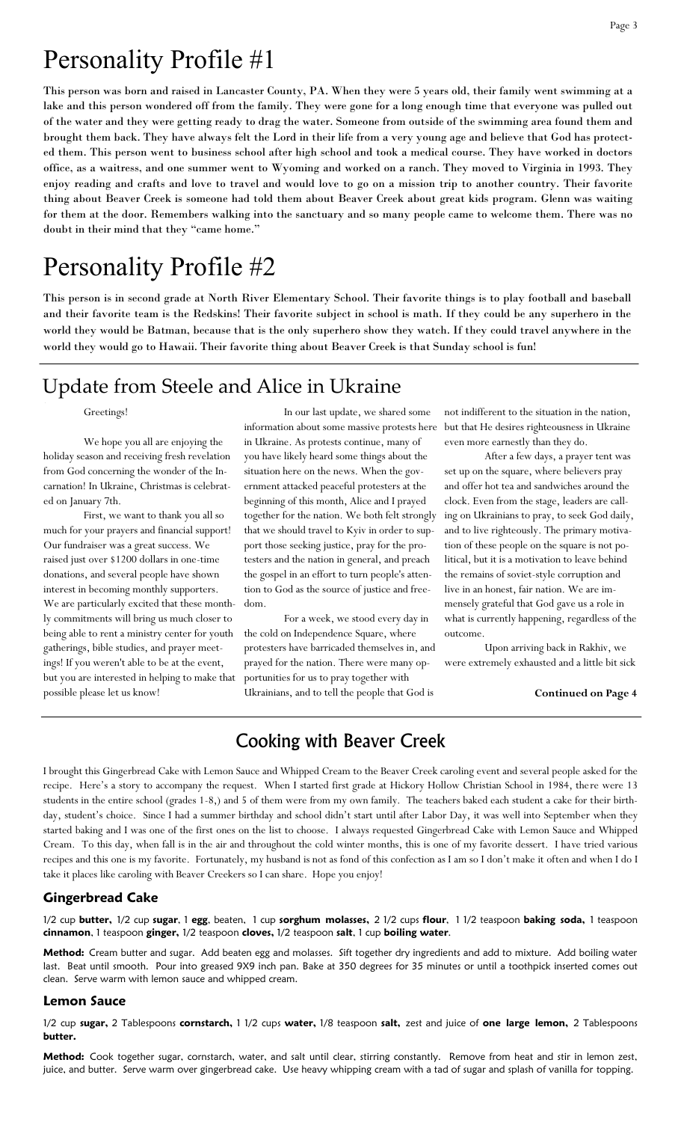# Personality Profile #1

This person was born and raised in Lancaster County, PA. When they were 5 years old, their family went swimming at a lake and this person wondered off from the family. They were gone for a long enough time that everyone was pulled out of the water and they were getting ready to drag the water. Someone from outside of the swimming area found them and brought them back. They have always felt the Lord in their life from a very young age and believe that God has protected them. This person went to business school after high school and took a medical course. They have worked in doctors office, as a waitress, and one summer went to Wyoming and worked on a ranch. They moved to Virginia in 1993. They enjoy reading and crafts and love to travel and would love to go on a mission trip to another country. Their favorite thing about Beaver Creek is someone had told them about Beaver Creek about great kids program. Glenn was waiting for them at the door. Remembers walking into the sanctuary and so many people came to welcome them. There was no doubt in their mind that they "came home."

# Personality Profile #2

This person is in second grade at North River Elementary School. Their favorite things is to play football and baseball and their favorite team is the Redskins! Their favorite subject in school is math. If they could be any superhero in the world they would be Batman, because that is the only superhero show they watch. If they could travel anywhere in the world they would go to Hawaii. Their favorite thing about Beaver Creek is that Sunday school is fun!

## Update from Steele and Alice in Ukraine

#### Greetings!

We hope you all are enjoying the holiday season and receiving fresh revelation from God concerning the wonder of the Incarnation! In Ukraine, Christmas is celebrated on January 7th.

First, we want to thank you all so much for your prayers and financial support! Our fundraiser was a great success. We raised just over \$1200 dollars in one-time donations, and several people have shown interest in becoming monthly supporters. We are particularly excited that these monthly commitments will bring us much closer to being able to rent a ministry center for youth gatherings, bible studies, and prayer meetings! If you weren't able to be at the event, but you are interested in helping to make that possible please let us know!

In our last update, we shared some information about some massive protests here in Ukraine. As protests continue, many of you have likely heard some things about the situation here on the news. When the government attacked peaceful protesters at the beginning of this month, Alice and I prayed together for the nation. We both felt strongly that we should travel to Kyiv in order to support those seeking justice, pray for the protesters and the nation in general, and preach the gospel in an effort to turn people's attention to God as the source of justice and freedom.

For a week, we stood every day in the cold on Independence Square, where protesters have barricaded themselves in, and prayed for the nation. There were many opportunities for us to pray together with Ukrainians, and to tell the people that God is

not indifferent to the situation in the nation, but that He desires righteousness in Ukraine even more earnestly than they do.

After a few days, a prayer tent was set up on the square, where believers pray and offer hot tea and sandwiches around the clock. Even from the stage, leaders are calling on Ukrainians to pray, to seek God daily, and to live righteously. The primary motivation of these people on the square is not political, but it is a motivation to leave behind the remains of soviet-style corruption and live in an honest, fair nation. We are immensely grateful that God gave us a role in what is currently happening, regardless of the outcome.

Upon arriving back in Rakhiv, we were extremely exhausted and a little bit sick

#### **Continued on Page 4**

### Cooking with Beaver Creek

I brought this Gingerbread Cake with Lemon Sauce and Whipped Cream to the Beaver Creek caroling event and several people asked for the recipe. Here's a story to accompany the request. When I started first grade at Hickory Hollow Christian School in 1984, there were 13 students in the entire school (grades 1-8,) and 5 of them were from my own family. The teachers baked each student a cake for their birthday, student's choice. Since I had a summer birthday and school didn't start until after Labor Day, it was well into September when they started baking and I was one of the first ones on the list to choose. I always requested Gingerbread Cake with Lemon Sauce and Whipped Cream. To this day, when fall is in the air and throughout the cold winter months, this is one of my favorite dessert. I have tried various recipes and this one is my favorite. Fortunately, my husband is not as fond of this confection as I am so I don't make it often and when I do I take it places like caroling with Beaver Creekers so I can share. Hope you enjoy!

#### **Gingerbread Cake**

1/2 cup **butter,** 1/2 cup **sugar**, 1 **egg**, beaten, 1 cup **sorghum molasses,** 2 1/2 cups **flour**, 1 1/2 teaspoon **baking soda,** 1 teaspoon **cinnamon**, 1 teaspoon **ginger,** 1/2 teaspoon **cloves,** 1/2 teaspoon **salt**, 1 cup **boiling water**.

**Method:** Cream butter and sugar. Add beaten egg and molasses. Sift together dry ingredients and add to mixture. Add boiling water last. Beat until smooth. Pour into greased 9X9 inch pan. Bake at 350 degrees for 35 minutes or until a toothpick inserted comes out clean. Serve warm with lemon sauce and whipped cream.

#### **Lemon Sauce**

1/2 cup **sugar,** 2 Tablespoons **cornstarch,** 1 1/2 cups **water,** 1/8 teaspoon **salt,** zest and juice of **one large lemon,** 2 Tablespoons **butter.** 

**Method:** Cook together sugar, cornstarch, water, and salt until clear, stirring constantly. Remove from heat and stir in lemon zest, juice, and butter. Serve warm over gingerbread cake. Use heavy whipping cream with a tad of sugar and splash of vanilla for topping.